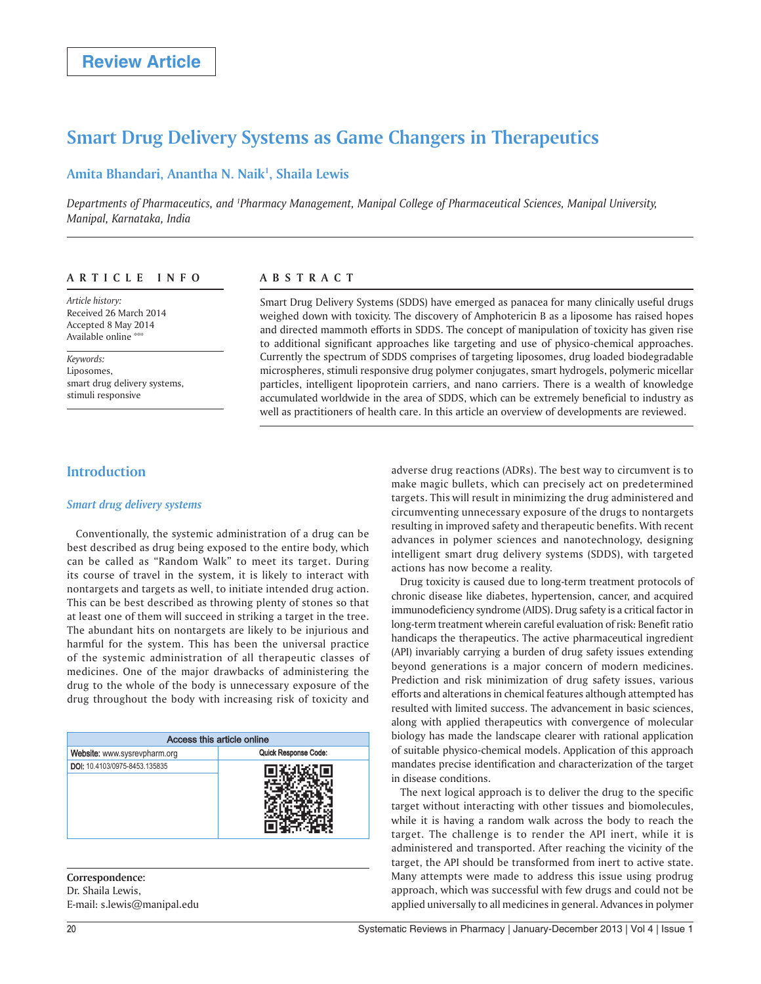# **Smart Drug Delivery Systems as Game Changers in Therapeutics**

## **Amita Bhandari, Anantha N. Naik1 , Shaila Lewis**

Departments of Pharmaceutics, and <sup>1</sup>Pharmacy Management, Manipal College of Pharmaceutical Sciences, Manipal University, *Manipal, Karnataka, India*

### **ARTICLE INFO**

*Article history:*  Received 26 March 2014 Accepted 8 May 2014 Available online \*\*\*

*Keywords:*  Liposomes, smart drug delivery systems, stimuli responsive

## **ABSTRACT**

Smart Drug Delivery Systems (SDDS) have emerged as panacea for many clinically useful drugs weighed down with toxicity. The discovery of Amphotericin B as a liposome has raised hopes and directed mammoth efforts in SDDS. The concept of manipulation of toxicity has given rise to additional significant approaches like targeting and use of physico-chemical approaches. Currently the spectrum of SDDS comprises of targeting liposomes, drug loaded biodegradable microspheres, stimuli responsive drug polymer conjugates, smart hydrogels, polymeric micellar particles, intelligent lipoprotein carriers, and nano carriers. There is a wealth of knowledge accumulated worldwide in the area of SDDS, which can be extremely beneficial to industry as well as practitioners of health care. In this article an overview of developments are reviewed.

## **Introduction**

#### *Smart drug delivery systems*

Conventionally, the systemic administration of a drug can be best described as drug being exposed to the entire body, which can be called as "Random Walk" to meet its target. During its course of travel in the system, it is likely to interact with nontargets and targets as well, to initiate intended drug action. This can be best described as throwing plenty of stones so that at least one of them will succeed in striking a target in the tree. The abundant hits on nontargets are likely to be injurious and harmful for the system. This has been the universal practice of the systemic administration of all therapeutic classes of medicines. One of the major drawbacks of administering the drug to the whole of the body is unnecessary exposure of the drug throughout the body with increasing risk of toxicity and

| Access this article online    |                      |
|-------------------------------|----------------------|
| Website: www.sysrevpharm.org  | Quick Response Code: |
| DOI: 10.4103/0975-8453.135835 |                      |

#### **Correspondence:** Dr. Shaila Lewis,

E-mail: s.lewis@manipal.edu

adverse drug reactions (ADRs). The best way to circumvent is to make magic bullets, which can precisely act on predetermined targets. This will result in minimizing the drug administered and circumventing unnecessary exposure of the drugs to nontargets resulting in improved safety and therapeutic benefits. With recent advances in polymer sciences and nanotechnology, designing intelligent smart drug delivery systems (SDDS), with targeted actions has now become a reality.

Drug toxicity is caused due to long-term treatment protocols of chronic disease like diabetes, hypertension, cancer, and acquired immunodeficiency syndrome (AIDS). Drug safety is a critical factor in long-term treatment wherein careful evaluation of risk: Benefit ratio handicaps the therapeutics. The active pharmaceutical ingredient (API) invariably carrying a burden of drug safety issues extending beyond generations is a major concern of modern medicines. Prediction and risk minimization of drug safety issues, various efforts and alterations in chemical features although attempted has resulted with limited success. The advancement in basic sciences, along with applied therapeutics with convergence of molecular biology has made the landscape clearer with rational application of suitable physico-chemical models. Application of this approach mandates precise identification and characterization of the target in disease conditions.

The next logical approach is to deliver the drug to the specific target without interacting with other tissues and biomolecules, while it is having a random walk across the body to reach the target. The challenge is to render the API inert, while it is administered and transported. After reaching the vicinity of the target, the API should be transformed from inert to active state. Many attempts were made to address this issue using prodrug approach, which was successful with few drugs and could not be applied universally to all medicines in general. Advances in polymer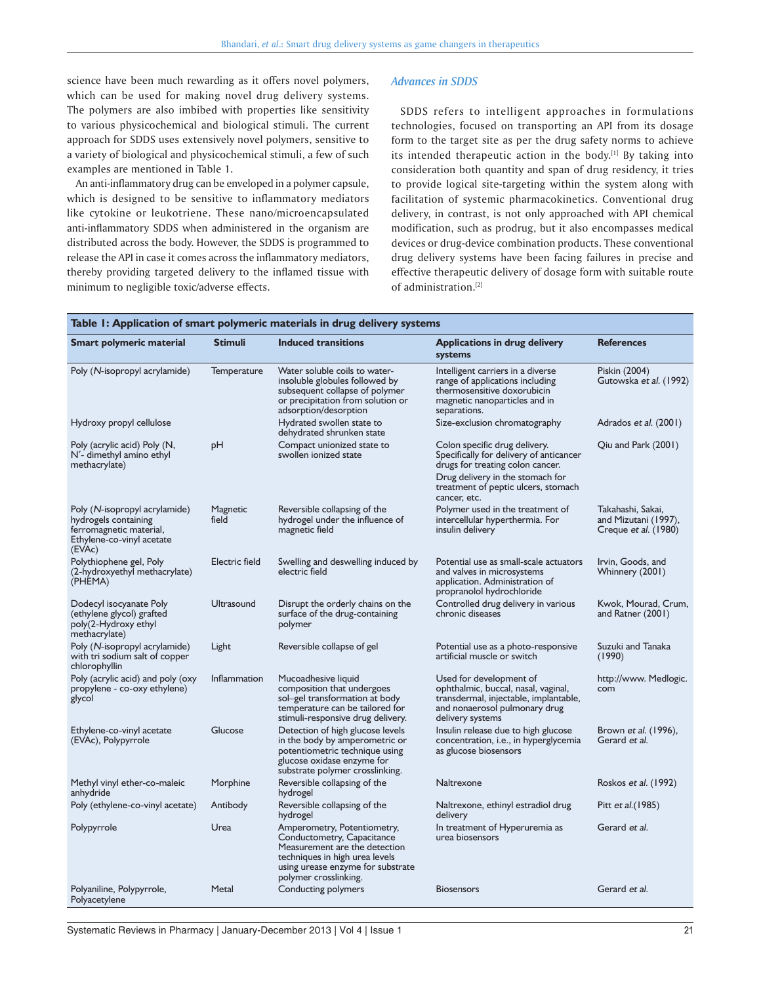## science have been much rewarding as it offers novel polymers, which can be used for making novel drug delivery systems. The polymers are also imbibed with properties like sensitivity to various physicochemical and biological stimuli. The current approach for SDDS uses extensively novel polymers, sensitive to a variety of biological and physicochemical stimuli, a few of such examples are mentioned in Table 1.

An anti-inflammatory drug can be enveloped in a polymer capsule, which is designed to be sensitive to inflammatory mediators like cytokine or leukotriene. These nano/microencapsulated anti-inflammatory SDDS when administered in the organism are distributed across the body. However, the SDDS is programmed to release the API in case it comes across the inflammatory mediators, thereby providing targeted delivery to the inflamed tissue with minimum to negligible toxic/adverse effects.

#### *Advances in SDDS*

SDDS refers to intelligent approaches in formulations technologies, focused on transporting an API from its dosage form to the target site as per the drug safety norms to achieve its intended therapeutic action in the body.<sup>[1]</sup> By taking into consideration both quantity and span of drug residency, it tries to provide logical site-targeting within the system along with facilitation of systemic pharmacokinetics. Conventional drug delivery, in contrast, is not only approached with API chemical modification, such as prodrug, but it also encompasses medical devices or drug-device combination products. These conventional drug delivery systems have been facing failures in precise and effective therapeutic delivery of dosage form with suitable route of administration.[2]

#### **Table 1: Application of smart polymeric materials in drug delivery systems Smart polymeric material Stimuli Induced transitions Applications in drug delivery systems References** Poly (N-isopropyl acrylamide) Temperature Water soluble coils to waterinsoluble globules followed by subsequent collapse of polymer or precipitation from solution or adsorption/desorption Intelligent carriers in a diverse range of applications including thermosensitive doxorubicin magnetic nanoparticles and in separations. Piskin (2004) Gutowska et al. (1992) Hydroxy propyl cellulose **Hydrated swollen state to** dehydrated shrunken state Size-exclusion chromatography Adrados et al. (2001) Poly (acrylic acid) Poly (N, N′- dimethyl amino ethyl methacrylate) pH Compact unionized state to swollen ionized state Colon specific drug delivery. Specifically for delivery of anticancer drugs for treating colon cancer. Qiu and Park (2001) Drug delivery in the stomach for treatment of peptic ulcers, stomach cancer, etc. Poly (N-isopropyl acrylamide) hydrogels containing ferromagnetic material, Ethylene-co-vinyl acetate (EVAc) Magnetic field Reversible collapsing of the hydrogel under the influence of magnetic field Polymer used in the treatment of intercellular hyperthermia. For insulin delivery Takahashi, Sakai, and Mizutani (1997), Creque et al. (1980) Polythiophene gel, Poly (2-hydroxyethyl methacrylate) (PHEMA) Electric field Swelling and deswelling induced by electric field Potential use as small-scale actuators and valves in microsystems application. Administration of propranolol hydrochloride Irvin, Goods, and Whinnery (2001) Dodecyl isocyanate Poly (ethylene glycol) grafted poly(2-Hydroxy ethyl methacrylate) Ultrasound Disrupt the orderly chains on the surface of the drug-containing polymer Controlled drug delivery in various chronic diseases Kwok, Mourad, Crum, and Ratner (2001) Poly (N-isopropyl acrylamide) with tri sodium salt of copper chlorophyllin Light Reversible collapse of gel Potential use as a photo-responsive artificial muscle or switch Suzuki and Tanaka (1990) Poly (acrylic acid) and poly (oxy propylene - co-oxy ethylene) glycol Inflammation Mucoadhesive liquid composition that undergoes sol–gel transformation at body temperature can be tailored for stimuli-responsive drug delivery. Used for development of ophthalmic, buccal, nasal, vaginal, transdermal, injectable, implantable, and nonaerosol pulmonary drug delivery systems http://www. Medlogic. com Ethylene-co-vinyl acetate (EVAc), Polypyrrole Glucose Detection of high glucose levels in the body by amperometric or potentiometric technique using glucose oxidase enzyme for substrate polymer crosslinking. Insulin release due to high glucose concentration, i.e., in hyperglycemia as glucose biosensors Brown et al. (1996), Gerard et al. Methyl vinyl ether-co-maleic anhydride Morphine Reversible collapsing of the hydrogel Naltrexone Roskos et al. (1992) Poly (ethylene-co-vinyl acetate) Antibody Reversible collapsing of the hydrogel Naltrexone, ethinyl estradiol drug delivery Pitt et al.(1985) Polypyrrole **Example 2018** Urea Amperometry, Potentiometry, Conductometry, Capacitance Measurement are the detection techniques in high urea levels using urease enzyme for substrate polymer crosslinking. In treatment of Hyperuremia as urea biosensors Gerard et al. Polyaniline, Polypyrrole, Polyacetylene Metal Conducting polymers Biosensors Biosensors Gerard et al.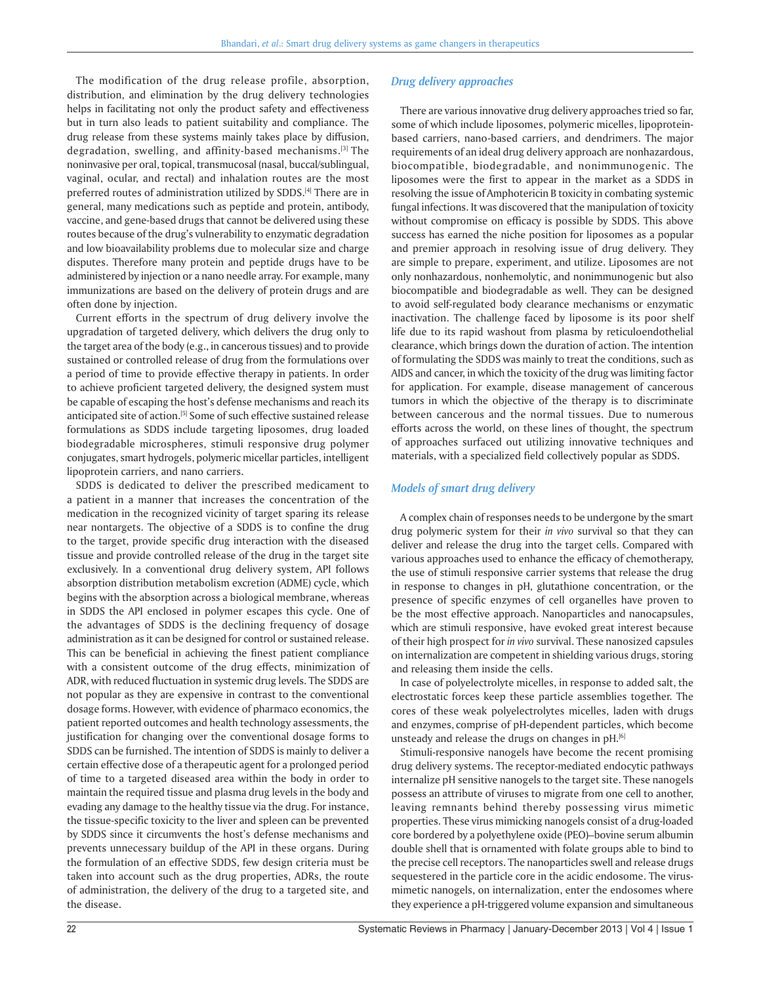The modification of the drug release profile, absorption, distribution, and elimination by the drug delivery technologies helps in facilitating not only the product safety and effectiveness but in turn also leads to patient suitability and compliance. The drug release from these systems mainly takes place by diffusion, degradation, swelling, and affinity-based mechanisms.[3] The noninvasive per oral, topical, transmucosal (nasal, buccal/sublingual, vaginal, ocular, and rectal) and inhalation routes are the most preferred routes of administration utilized by SDDS.<sup>[4]</sup> There are in general, many medications such as peptide and protein, antibody, vaccine, and gene-based drugs that cannot be delivered using these routes because of the drug's vulnerability to enzymatic degradation and low bioavailability problems due to molecular size and charge disputes. Therefore many protein and peptide drugs have to be administered by injection or a nano needle array. For example, many immunizations are based on the delivery of protein drugs and are often done by injection.

Current efforts in the spectrum of drug delivery involve the upgradation of targeted delivery, which delivers the drug only to the target area of the body (e.g., in cancerous tissues) and to provide sustained or controlled release of drug from the formulations over a period of time to provide effective therapy in patients. In order to achieve proficient targeted delivery, the designed system must be capable of escaping the host's defense mechanisms and reach its anticipated site of action.[5] Some of such effective sustained release formulations as SDDS include targeting liposomes, drug loaded biodegradable microspheres, stimuli responsive drug polymer conjugates, smart hydrogels, polymeric micellar particles, intelligent lipoprotein carriers, and nano carriers.

SDDS is dedicated to deliver the prescribed medicament to a patient in a manner that increases the concentration of the medication in the recognized vicinity of target sparing its release near nontargets. The objective of a SDDS is to confine the drug to the target, provide specific drug interaction with the diseased tissue and provide controlled release of the drug in the target site exclusively. In a conventional drug delivery system, API follows absorption distribution metabolism excretion (ADME) cycle, which begins with the absorption across a biological membrane, whereas in SDDS the API enclosed in polymer escapes this cycle. One of the advantages of SDDS is the declining frequency of dosage administration as it can be designed for control or sustained release. This can be beneficial in achieving the finest patient compliance with a consistent outcome of the drug effects, minimization of ADR, with reduced fluctuation in systemic drug levels. The SDDS are not popular as they are expensive in contrast to the conventional dosage forms. However, with evidence of pharmaco economics, the patient reported outcomes and health technology assessments, the justification for changing over the conventional dosage forms to SDDS can be furnished. The intention of SDDS is mainly to deliver a certain effective dose of a therapeutic agent for a prolonged period of time to a targeted diseased area within the body in order to maintain the required tissue and plasma drug levels in the body and evading any damage to the healthy tissue via the drug. For instance, the tissue-specific toxicity to the liver and spleen can be prevented by SDDS since it circumvents the host's defense mechanisms and prevents unnecessary buildup of the API in these organs. During the formulation of an effective SDDS, few design criteria must be taken into account such as the drug properties, ADRs, the route of administration, the delivery of the drug to a targeted site, and the disease.

There are various innovative drug delivery approaches tried so far, some of which include liposomes, polymeric micelles, lipoproteinbased carriers, nano-based carriers, and dendrimers. The major requirements of an ideal drug delivery approach are nonhazardous, biocompatible, biodegradable, and nonimmunogenic. The liposomes were the first to appear in the market as a SDDS in resolving the issue of Amphotericin B toxicity in combating systemic fungal infections. It was discovered that the manipulation of toxicity without compromise on efficacy is possible by SDDS. This above success has earned the niche position for liposomes as a popular and premier approach in resolving issue of drug delivery. They are simple to prepare, experiment, and utilize. Liposomes are not only nonhazardous, nonhemolytic, and nonimmunogenic but also biocompatible and biodegradable as well. They can be designed to avoid self-regulated body clearance mechanisms or enzymatic inactivation. The challenge faced by liposome is its poor shelf life due to its rapid washout from plasma by reticuloendothelial clearance, which brings down the duration of action. The intention of formulating the SDDS was mainly to treat the conditions, such as AIDS and cancer, in which the toxicity of the drug was limiting factor for application. For example, disease management of cancerous tumors in which the objective of the therapy is to discriminate between cancerous and the normal tissues. Due to numerous efforts across the world, on these lines of thought, the spectrum of approaches surfaced out utilizing innovative techniques and materials, with a specialized field collectively popular as SDDS.

#### *Models of smart drug delivery*

A complex chain of responses needs to be undergone by the smart drug polymeric system for their *in vivo* survival so that they can deliver and release the drug into the target cells. Compared with various approaches used to enhance the efficacy of chemotherapy, the use of stimuli responsive carrier systems that release the drug in response to changes in pH, glutathione concentration, or the presence of specific enzymes of cell organelles have proven to be the most effective approach. Nanoparticles and nanocapsules, which are stimuli responsive, have evoked great interest because of their high prospect for *in vivo* survival. These nanosized capsules on internalization are competent in shielding various drugs, storing and releasing them inside the cells.

In case of polyelectrolyte micelles, in response to added salt, the electrostatic forces keep these particle assemblies together. The cores of these weak polyelectrolytes micelles, laden with drugs and enzymes, comprise of pH-dependent particles, which become unsteady and release the drugs on changes in pH.<sup>[6]</sup>

Stimuli-responsive nanogels have become the recent promising drug delivery systems. The receptor-mediated endocytic pathways internalize pH sensitive nanogels to the target site. These nanogels possess an attribute of viruses to migrate from one cell to another, leaving remnants behind thereby possessing virus mimetic properties. These virus mimicking nanogels consist of a drug-loaded core bordered by a polyethylene oxide (PEO)–bovine serum albumin double shell that is ornamented with folate groups able to bind to the precise cell receptors. The nanoparticles swell and release drugs sequestered in the particle core in the acidic endosome. The virusmimetic nanogels, on internalization, enter the endosomes where they experience a pH-triggered volume expansion and simultaneous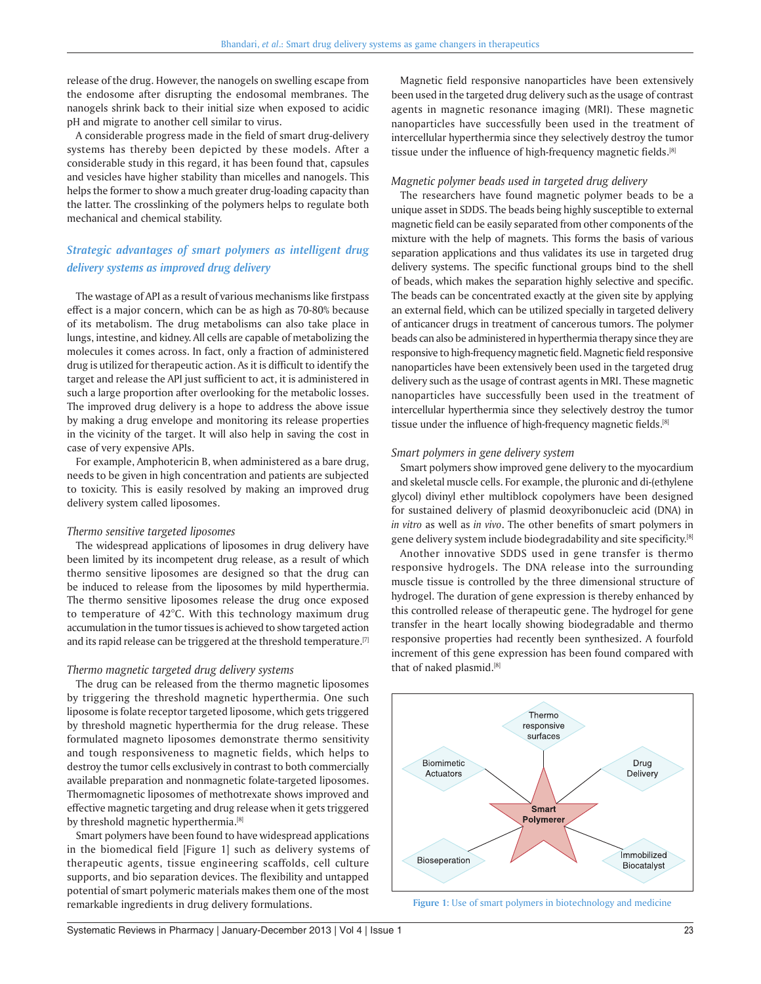release of the drug. However, the nanogels on swelling escape from the endosome after disrupting the endosomal membranes. The nanogels shrink back to their initial size when exposed to acidic pH and migrate to another cell similar to virus.

A considerable progress made in the field of smart drug-delivery systems has thereby been depicted by these models. After a considerable study in this regard, it has been found that, capsules and vesicles have higher stability than micelles and nanogels. This helps the former to show a much greater drug-loading capacity than the latter. The crosslinking of the polymers helps to regulate both mechanical and chemical stability.

## *Strategic advantages of smart polymers as intelligent drug delivery systems as improved drug delivery*

The wastage of API as a result of various mechanisms like firstpass effect is a major concern, which can be as high as 70-80% because of its metabolism. The drug metabolisms can also take place in lungs, intestine, and kidney. All cells are capable of metabolizing the molecules it comes across. In fact, only a fraction of administered drug is utilized for therapeutic action. As it is difficult to identify the target and release the API just sufficient to act, it is administered in such a large proportion after overlooking for the metabolic losses. The improved drug delivery is a hope to address the above issue by making a drug envelope and monitoring its release properties in the vicinity of the target. It will also help in saving the cost in case of very expensive APIs.

For example, Amphotericin B, when administered as a bare drug, needs to be given in high concentration and patients are subjected to toxicity. This is easily resolved by making an improved drug delivery system called liposomes.

#### *Thermo sensitive targeted liposomes*

The widespread applications of liposomes in drug delivery have been limited by its incompetent drug release, as a result of which thermo sensitive liposomes are designed so that the drug can be induced to release from the liposomes by mild hyperthermia. The thermo sensitive liposomes release the drug once exposed to temperature of 42°C. With this technology maximum drug accumulation in the tumor tissues is achieved to show targeted action and its rapid release can be triggered at the threshold temperature.<sup>[7]</sup>

#### *Thermo magnetic targeted drug delivery systems*

The drug can be released from the thermo magnetic liposomes by triggering the threshold magnetic hyperthermia. One such liposome is folate receptor targeted liposome, which gets triggered by threshold magnetic hyperthermia for the drug release. These formulated magneto liposomes demonstrate thermo sensitivity and tough responsiveness to magnetic fields, which helps to destroy the tumor cells exclusively in contrast to both commercially available preparation and nonmagnetic folate-targeted liposomes. Thermomagnetic liposomes of methotrexate shows improved and effective magnetic targeting and drug release when it gets triggered by threshold magnetic hyperthermia.<sup>[8]</sup>

Smart polymers have been found to have widespread applications in the biomedical field [Figure 1] such as delivery systems of therapeutic agents, tissue engineering scaffolds, cell culture supports, and bio separation devices. The flexibility and untapped potential of smart polymeric materials makes them one of the most remarkable ingredients in drug delivery formulations.

Magnetic field responsive nanoparticles have been extensively been used in the targeted drug delivery such as the usage of contrast agents in magnetic resonance imaging (MRI). These magnetic nanoparticles have successfully been used in the treatment of intercellular hyperthermia since they selectively destroy the tumor tissue under the influence of high-frequency magnetic fields.<sup>[8]</sup>

#### *Magnetic polymer beads used in targeted drug delivery*

The researchers have found magnetic polymer beads to be a unique asset in SDDS. The beads being highly susceptible to external magnetic field can be easily separated from other components of the mixture with the help of magnets. This forms the basis of various separation applications and thus validates its use in targeted drug delivery systems. The specific functional groups bind to the shell of beads, which makes the separation highly selective and specific. The beads can be concentrated exactly at the given site by applying an external field, which can be utilized specially in targeted delivery of anticancer drugs in treatment of cancerous tumors. The polymer beads can also be administered in hyperthermia therapy since they are responsive to high-frequency magnetic field. Magnetic field responsive nanoparticles have been extensively been used in the targeted drug delivery such as the usage of contrast agents in MRI. These magnetic nanoparticles have successfully been used in the treatment of intercellular hyperthermia since they selectively destroy the tumor tissue under the influence of high-frequency magnetic fields.<sup>[8]</sup>

#### *Smart polymers in gene delivery system*

Smart polymers show improved gene delivery to the myocardium and skeletal muscle cells. For example, the pluronic and di-(ethylene glycol) divinyl ether multiblock copolymers have been designed for sustained delivery of plasmid deoxyribonucleic acid (DNA) in *in vitro* as well as *in vivo*. The other benefits of smart polymers in gene delivery system include biodegradability and site specificity.[8]

Another innovative SDDS used in gene transfer is thermo responsive hydrogels. The DNA release into the surrounding muscle tissue is controlled by the three dimensional structure of hydrogel. The duration of gene expression is thereby enhanced by this controlled release of therapeutic gene. The hydrogel for gene transfer in the heart locally showing biodegradable and thermo responsive properties had recently been synthesized. A fourfold increment of this gene expression has been found compared with that of naked plasmid.[8]



**Figure 1:** Use of smart polymers in biotechnology and medicine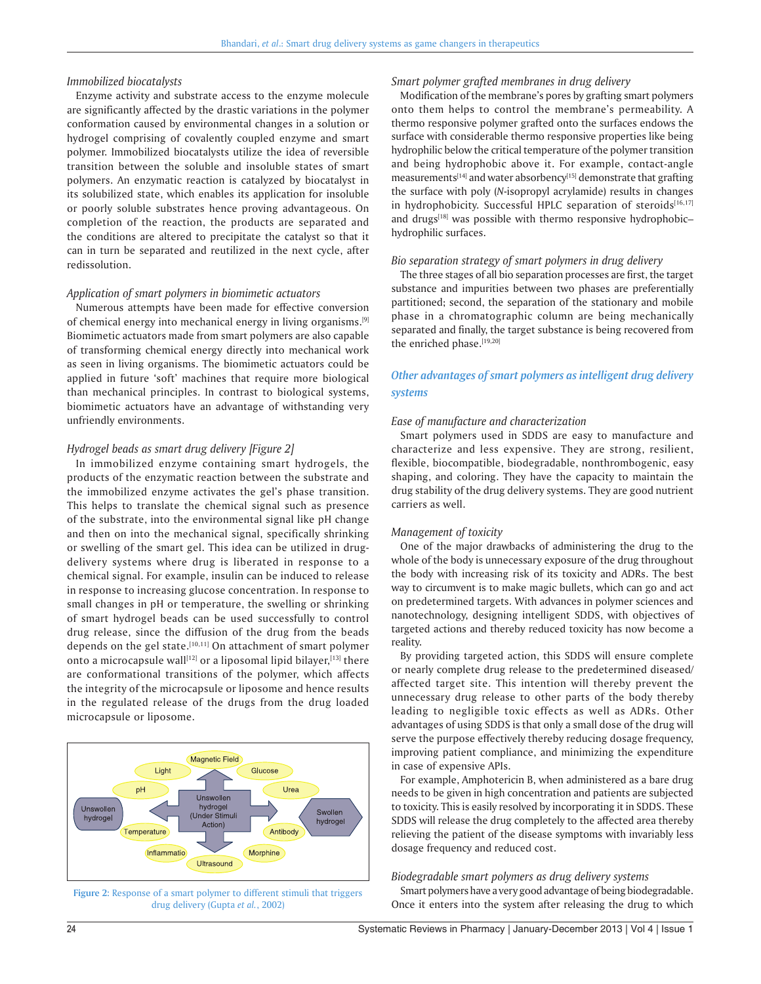#### *Immobilized biocatalysts*

Enzyme activity and substrate access to the enzyme molecule are significantly affected by the drastic variations in the polymer conformation caused by environmental changes in a solution or hydrogel comprising of covalently coupled enzyme and smart polymer. Immobilized biocatalysts utilize the idea of reversible transition between the soluble and insoluble states of smart polymers. An enzymatic reaction is catalyzed by biocatalyst in its solubilized state, which enables its application for insoluble or poorly soluble substrates hence proving advantageous. On completion of the reaction, the products are separated and the conditions are altered to precipitate the catalyst so that it can in turn be separated and reutilized in the next cycle, after redissolution.

#### *Application of smart polymers in biomimetic actuators*

Numerous attempts have been made for effective conversion of chemical energy into mechanical energy in living organisms.[9] Biomimetic actuators made from smart polymers are also capable of transforming chemical energy directly into mechanical work as seen in living organisms. The biomimetic actuators could be applied in future 'soft' machines that require more biological than mechanical principles. In contrast to biological systems, biomimetic actuators have an advantage of withstanding very unfriendly environments.

#### *Hydrogel beads as smart drug delivery [Figure 2]*

In immobilized enzyme containing smart hydrogels, the products of the enzymatic reaction between the substrate and the immobilized enzyme activates the gel's phase transition. This helps to translate the chemical signal such as presence of the substrate, into the environmental signal like pH change and then on into the mechanical signal, specifically shrinking or swelling of the smart gel. This idea can be utilized in drugdelivery systems where drug is liberated in response to a chemical signal. For example, insulin can be induced to release in response to increasing glucose concentration. In response to small changes in pH or temperature, the swelling or shrinking of smart hydrogel beads can be used successfully to control drug release, since the diffusion of the drug from the beads depends on the gel state.<sup>[10,11]</sup> On attachment of smart polymer onto a microcapsule wall<sup>[12]</sup> or a liposomal lipid bilayer,<sup>[13]</sup> there are conformational transitions of the polymer, which affects the integrity of the microcapsule or liposome and hence results in the regulated release of the drugs from the drug loaded microcapsule or liposome.



**Figure 2:** Response of a smart polymer to different stimuli that triggers drug delivery (Gupta *et al.*, 2002)

#### *Smart polymer grafted membranes in drug delivery*

Modification of the membrane's pores by grafting smart polymers onto them helps to control the membrane's permeability. A thermo responsive polymer grafted onto the surfaces endows the surface with considerable thermo responsive properties like being hydrophilic below the critical temperature of the polymer transition and being hydrophobic above it. For example, contact-angle measurements<sup>[14]</sup> and water absorbency<sup>[15]</sup> demonstrate that grafting the surface with poly (*N*-isopropyl acrylamide) results in changes in hydrophobicity. Successful HPLC separation of steroids[16,17] and drugs<sup>[18]</sup> was possible with thermo responsive hydrophobichydrophilic surfaces.

#### *Bio separation strategy of smart polymers in drug delivery*

The three stages of all bio separation processes are first, the target substance and impurities between two phases are preferentially partitioned; second, the separation of the stationary and mobile phase in a chromatographic column are being mechanically separated and finally, the target substance is being recovered from the enriched phase.[19,20]

## *Other advantages of smart polymers as intelligent drug delivery systems*

#### *Ease of manufacture and characterization*

Smart polymers used in SDDS are easy to manufacture and characterize and less expensive. They are strong, resilient, flexible, biocompatible, biodegradable, nonthrombogenic, easy shaping, and coloring. They have the capacity to maintain the drug stability of the drug delivery systems. They are good nutrient carriers as well.

#### *Management of toxicity*

One of the major drawbacks of administering the drug to the whole of the body is unnecessary exposure of the drug throughout the body with increasing risk of its toxicity and ADRs. The best way to circumvent is to make magic bullets, which can go and act on predetermined targets. With advances in polymer sciences and nanotechnology, designing intelligent SDDS, with objectives of targeted actions and thereby reduced toxicity has now become a reality.

By providing targeted action, this SDDS will ensure complete or nearly complete drug release to the predetermined diseased/ affected target site. This intention will thereby prevent the unnecessary drug release to other parts of the body thereby leading to negligible toxic effects as well as ADRs. Other advantages of using SDDS is that only a small dose of the drug will serve the purpose effectively thereby reducing dosage frequency, improving patient compliance, and minimizing the expenditure in case of expensive APIs.

For example, Amphotericin B, when administered as a bare drug needs to be given in high concentration and patients are subjected to toxicity. This is easily resolved by incorporating it in SDDS. These SDDS will release the drug completely to the affected area thereby relieving the patient of the disease symptoms with invariably less dosage frequency and reduced cost.

#### *Biodegradable smart polymers as drug delivery systems*

Smart polymers have a very good advantage of being biodegradable. Once it enters into the system after releasing the drug to which